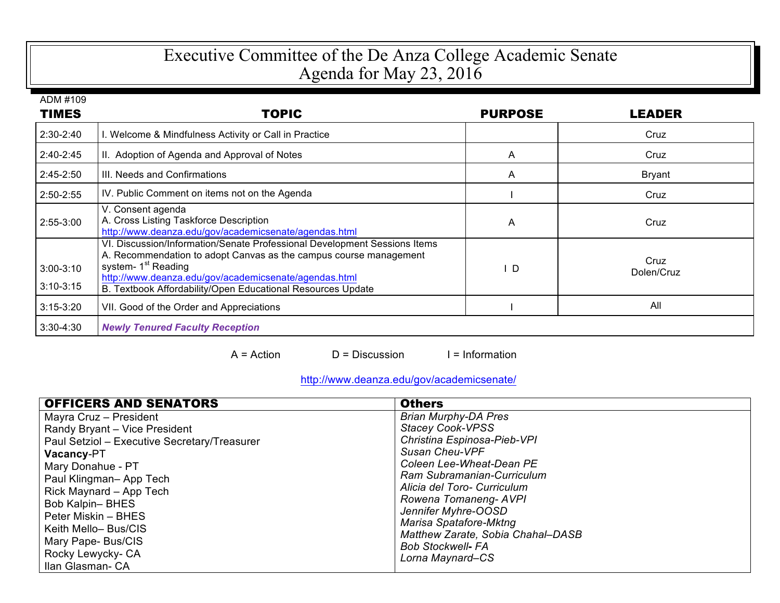## Executive Committee of the De Anza College Academic Senate Agenda for May 23, 2016

| ADM #109                   |                                                                                                                                                                                                                                                                                                           |                |                    |
|----------------------------|-----------------------------------------------------------------------------------------------------------------------------------------------------------------------------------------------------------------------------------------------------------------------------------------------------------|----------------|--------------------|
| <b>TIMES</b>               | <b>TOPIC</b>                                                                                                                                                                                                                                                                                              | <b>PURPOSE</b> | <b>LEADER</b>      |
| 2:30-2:40                  | . Welcome & Mindfulness Activity or Call in Practice                                                                                                                                                                                                                                                      |                | Cruz               |
| 2:40-2:45                  | II. Adoption of Agenda and Approval of Notes                                                                                                                                                                                                                                                              | A              | Cruz               |
| $2:45-2:50$                | III. Needs and Confirmations                                                                                                                                                                                                                                                                              | A              | <b>Bryant</b>      |
| 2:50-2:55                  | IV. Public Comment on items not on the Agenda                                                                                                                                                                                                                                                             |                | Cruz               |
| 2:55-3:00                  | V. Consent agenda<br>A. Cross Listing Taskforce Description<br>http://www.deanza.edu/gov/academicsenate/agendas.html                                                                                                                                                                                      | A              | Cruz               |
| $3:00-3:10$<br>$3:10-3:15$ | VI. Discussion/Information/Senate Professional Development Sessions Items<br>A. Recommendation to adopt Canvas as the campus course management<br>system- 1 <sup>st</sup> Reading<br>http://www.deanza.edu/gov/academicsenate/agendas.html<br>B. Textbook Affordability/Open Educational Resources Update | - D            | Cruz<br>Dolen/Cruz |
| $3:15-3:20$                | VII. Good of the Order and Appreciations                                                                                                                                                                                                                                                                  |                | All                |
| $3:30-4:30$                | <b>Newly Tenured Faculty Reception</b>                                                                                                                                                                                                                                                                    |                |                    |

 $A = Action$   $D = Discussion$  I = Information

## http://www.deanza.edu/gov/academicsenate/

| <b>OFFICERS AND SENATORS</b>                 | <b>Others</b>                     |
|----------------------------------------------|-----------------------------------|
| Mayra Cruz - President                       | <b>Brian Murphy-DA Pres</b>       |
| Randy Bryant - Vice President                | <b>Stacey Cook-VPSS</b>           |
| Paul Setziol - Executive Secretary/Treasurer | Christina Espinosa-Pieb-VPI       |
| <b>Vacancy-PT</b>                            | Susan Cheu-VPF                    |
| Mary Donahue - PT                            | Coleen Lee-Wheat-Dean PE          |
| Paul Klingman-App Tech                       | Ram Subramanian-Curriculum        |
| Rick Maynard - App Tech                      | Alicia del Toro- Curriculum       |
| <b>Bob Kalpin-BHES</b>                       | Rowena Tomaneng- AVPI             |
| Peter Miskin – BHES                          | Jennifer Myhre-OOSD               |
| Keith Mello-Bus/CIS                          | Marisa Spatafore-Mktng            |
| Mary Pape- Bus/CIS                           | Matthew Zarate, Sobia Chahal-DASB |
| Rocky Lewycky- CA                            | <b>Bob Stockwell- FA</b>          |
| Ilan Glasman- CA                             | Lorna Maynard-CS                  |